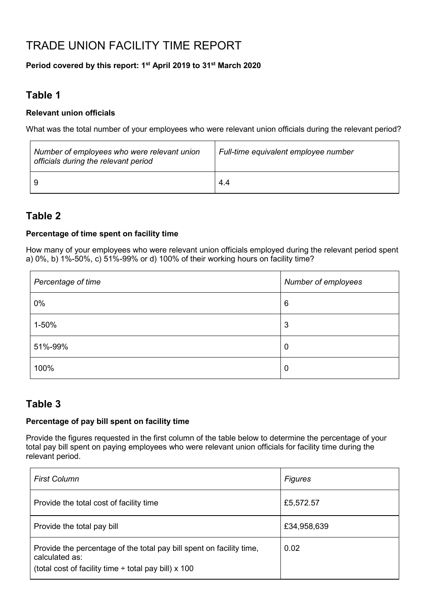# TRADE UNION FACILITY TIME REPORT

### **Period covered by this report: 1st April 2019 to 31st March 2020**

## **Table 1**

 $\overline{r}$ 

#### **Relevant union officials**

What was the total number of your employees who were relevant union officials during the relevant period?

| Number of employees who were relevant union<br>officials during the relevant period | Full-time equivalent employee number |
|-------------------------------------------------------------------------------------|--------------------------------------|
|                                                                                     | 4.4                                  |

### **Table 2**

 $\ddot{\phantom{0}}$ 

#### **Percentage of time spent on facility time**

How many of your employees who were relevant union officials employed during the relevant period spent a) 0%, b) 1%-50%, c) 51%-99% or d) 100% of their working hours on facility time?

 $\overline{1}$ 

| Percentage of time | Number of employees |
|--------------------|---------------------|
| $0\%$              | 6                   |
| 1-50%              | 3                   |
| 51%-99%            | 0                   |
| 100%               | 0                   |

### **Table 3**

#### **Percentage of pay bill spent on facility time**

Provide the figures requested in the first column of the table below to determine the percentage of your total pay bill spent on paying employees who were relevant union officials for facility time during the relevant period.

| <b>First Column</b>                                                                                                                                 | <b>Figures</b> |
|-----------------------------------------------------------------------------------------------------------------------------------------------------|----------------|
| Provide the total cost of facility time                                                                                                             | £5,572.57      |
| Provide the total pay bill                                                                                                                          | £34,958,639    |
| Provide the percentage of the total pay bill spent on facility time,<br>calculated as:<br>(total cost of facility time $\div$ total pay bill) x 100 | 0.02           |